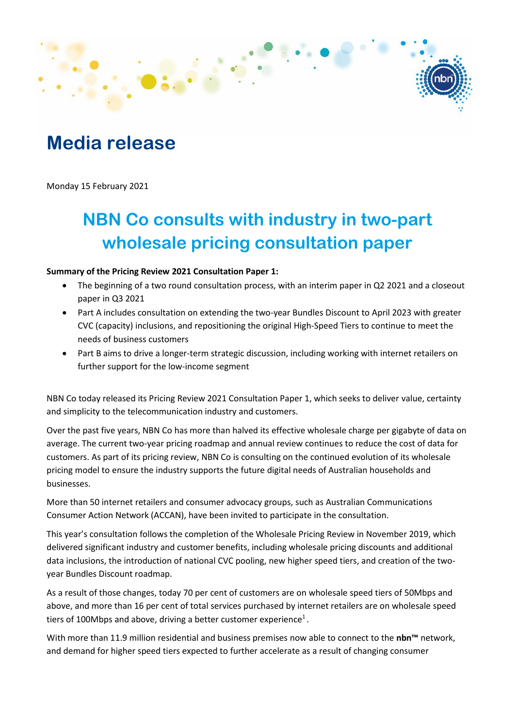## **Media release**

Monday 15 February 2021

## **NBN Co consults with industry in two-part wholesale pricing consultation paper**

#### **Summary of the Pricing Review 2021 Consultation Paper 1:**

- The beginning of a two round consultation process, with an interim paper in Q2 2021 and a closeout paper in Q3 2021
- Part A includes consultation on extending the two-year Bundles Discount to April 2023 with greater CVC (capacity) inclusions, and repositioning the original High-Speed Tiers to continue to meet the needs of business customers
- Part B aims to drive a longer-term strategic discussion, including working with internet retailers on further support for the low-income segment

NBN Co today released its Pricing Review 2021 Consultation Paper 1, which seeks to deliver value, certainty and simplicity to the telecommunication industry and customers.

Over the past five years, NBN Co has more than halved its effective wholesale charge per gigabyte of data on average. The current two-year pricing roadmap and annual review continues to reduce the cost of data for customers. As part of its pricing review, NBN Co is consulting on the continued evolution of its wholesale pricing model to ensure the industry supports the future digital needs of Australian households and businesses.

More than 50 internet retailers and consumer advocacy groups, such as Australian Communications Consumer Action Network (ACCAN), have been invited to participate in the consultation.

This year's consultation follows the completion of the Wholesale Pricing Review in November 2019, which delivered significant industry and customer benefits, including wholesale pricing discounts and additional data inclusions, the introduction of national CVC pooling, new higher speed tiers, and creation of the twoyear Bundles Discount roadmap.

As a result of those changes, today 70 per cent of customers are on wholesale speed tiers of 50Mbps and above, and more than 16 per cent of total services purchased by internet retailers are on wholesale speed tiers of 100Mbps and above, driving a better customer experience<sup>1</sup>.

With more than 11.9 million residential and business premises now able to connect to the **nbn™** network, and demand for higher speed tiers expected to further accelerate as a result of changing consumer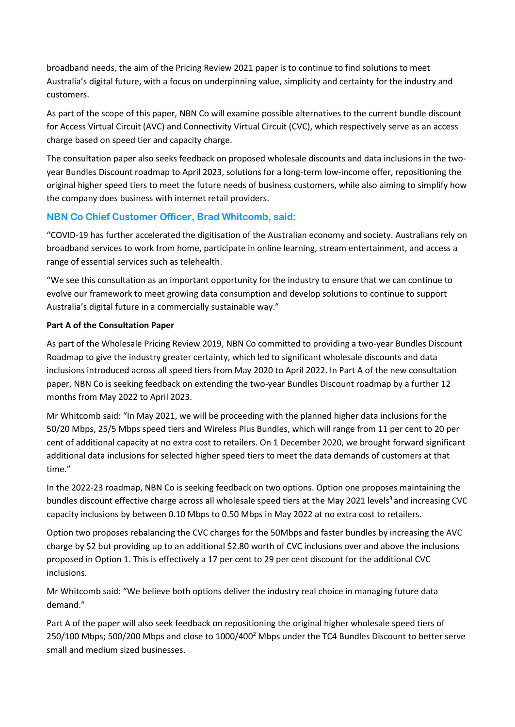broadband needs, the aim of the Pricing Review 2021 paper is to continue to find solutions to meet Australia's digital future, with a focus on underpinning value, simplicity and certainty for the industry and customers.

As part of the scope of this paper, NBN Co will examine possible alternatives to the current bundle discount for Access Virtual Circuit (AVC) and Connectivity Virtual Circuit (CVC), which respectively serve as an access charge based on speed tier and capacity charge.

The consultation paper also seeks feedback on proposed wholesale discounts and data inclusions in the twoyear Bundles Discount roadmap to April 2023, solutions for a long-term low-income offer, repositioning the original higher speed tiers to meet the future needs of business customers, while also aiming to simplify how the company does business with internet retail providers.

### **NBN Co Chief Customer Officer, Brad Whitcomb, said:**

"COVID-19 has further accelerated the digitisation of the Australian economy and society. Australians rely on broadband services to work from home, participate in online learning, stream entertainment, and access a range of essential services such as telehealth.

"We see this consultation as an important opportunity for the industry to ensure that we can continue to evolve our framework to meet growing data consumption and develop solutions to continue to support Australia's digital future in a commercially sustainable way."

### **Part A of the Consultation Paper**

As part of the Wholesale Pricing Review 2019, NBN Co committed to providing a two-year Bundles Discount Roadmap to give the industry greater certainty, which led to significant wholesale discounts and data inclusions introduced across all speed tiers from May 2020 to April 2022. In Part A of the new consultation paper, NBN Co is seeking feedback on extending the two-year Bundles Discount roadmap by a further 12 months from May 2022 to April 2023.

Mr Whitcomb said: "In May 2021, we will be proceeding with the planned higher data inclusions for the 50/20 Mbps, 25/5 Mbps speed tiers and Wireless Plus Bundles, which will range from 11 per cent to 20 per cent of additional capacity at no extra cost to retailers. On 1 December 2020, we brought forward significant additional data inclusions for selected higher speed tiers to meet the data demands of customers at that time."

In the 2022-23 roadmap, NBN Co is seeking feedback on two options. Option one proposes maintaining the bundles discount effective charge across all wholesale speed tiers at the May 2021 levels<sup>3</sup> and increasing CVC capacity inclusions by between 0.10 Mbps to 0.50 Mbps in May 2022 at no extra cost to retailers.

Option two proposes rebalancing the CVC charges for the 50Mbps and faster bundles by increasing the AVC charge by \$2 but providing up to an additional \$2.80 worth of CVC inclusions over and above the inclusions proposed in Option 1. This is effectively a 17 per cent to 29 per cent discount for the additional CVC inclusions.

Mr Whitcomb said: "We believe both options deliver the industry real choice in managing future data demand."

Part A of the paper will also seek feedback on repositioning the original higher wholesale speed tiers of 250/100 Mbps; 500/200 Mbps and close to 1000/400<sup>2</sup> Mbps under the TC4 Bundles Discount to better serve small and medium sized businesses.